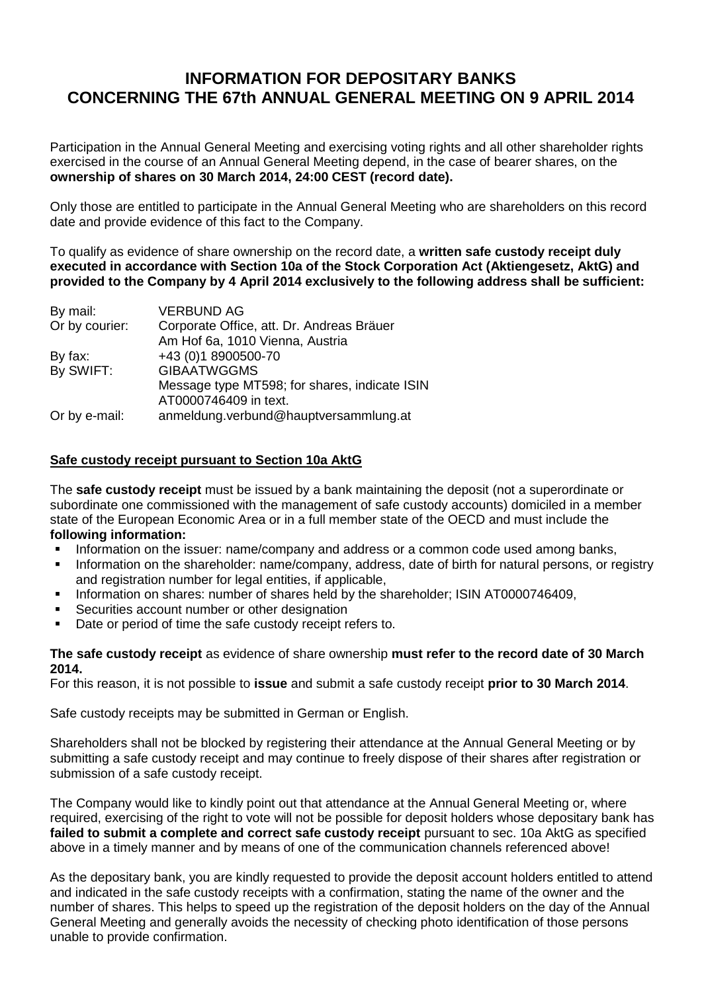## **INFORMATION FOR DEPOSITARY BANKS CONCERNING THE 67th ANNUAL GENERAL MEETING ON 9 APRIL 2014**

Participation in the Annual General Meeting and exercising voting rights and all other shareholder rights exercised in the course of an Annual General Meeting depend, in the case of bearer shares, on the **ownership of shares on 30 March 2014, 24:00 CEST (record date).**

Only those are entitled to participate in the Annual General Meeting who are shareholders on this record date and provide evidence of this fact to the Company.

To qualify as evidence of share ownership on the record date, a **written safe custody receipt duly executed in accordance with Section 10a of the Stock Corporation Act (Aktiengesetz, AktG) and provided to the Company by 4 April 2014 exclusively to the following address shall be sufficient:**

| By mail:       | <b>VERBUND AG</b>                             |
|----------------|-----------------------------------------------|
| Or by courier: | Corporate Office, att. Dr. Andreas Bräuer     |
|                | Am Hof 6a, 1010 Vienna, Austria               |
| By fax:        | +43 (0)1 8900500-70                           |
| By SWIFT:      | <b>GIBAATWGGMS</b>                            |
|                | Message type MT598; for shares, indicate ISIN |
|                | AT0000746409 in text.                         |
| Or by e-mail:  | anmeldung.verbund@hauptversammlung.at         |

## **Safe custody receipt pursuant to Section 10a AktG**

The **safe custody receipt** must be issued by a bank maintaining the deposit (not a superordinate or subordinate one commissioned with the management of safe custody accounts) domiciled in a member state of the European Economic Area or in a full member state of the OECD and must include the **following information:**

- Information on the issuer: name/company and address or a common code used among banks,
- Information on the shareholder: name/company, address, date of birth for natural persons, or registry and registration number for legal entities, if applicable,
- Information on shares: number of shares held by the shareholder; ISIN AT0000746409,
- Securities account number or other designation
- Date or period of time the safe custody receipt refers to.

## **The safe custody receipt** as evidence of share ownership **must refer to the record date of 30 March 2014.**

For this reason, it is not possible to **issue** and submit a safe custody receipt **prior to 30 March 2014**.

Safe custody receipts may be submitted in German or English.

Shareholders shall not be blocked by registering their attendance at the Annual General Meeting or by submitting a safe custody receipt and may continue to freely dispose of their shares after registration or submission of a safe custody receipt.

The Company would like to kindly point out that attendance at the Annual General Meeting or, where required, exercising of the right to vote will not be possible for deposit holders whose depositary bank has failed to submit a complete and correct safe custody receipt pursuant to sec. 10a AktG as specified above in a timely manner and by means of one of the communication channels referenced above!

As the depositary bank, you are kindly requested to provide the deposit account holders entitled to attend and indicated in the safe custody receipts with a confirmation, stating the name of the owner and the number of shares. This helps to speed up the registration of the deposit holders on the day of the Annual General Meeting and generally avoids the necessity of checking photo identification of those persons unable to provide confirmation.